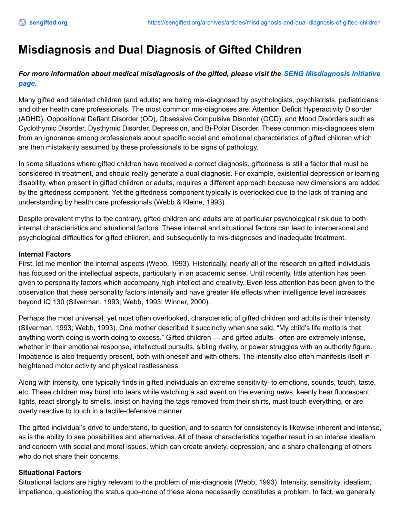# **Misdiagnosis and Dual Diagnosis of Gifted Children**

# *For more information about medical [misdiagnosis](http://sengifted.org/programs/seng-misdiagnosis-initiative) of the gifted, please visit the SENG Misdiagnosis Initiative page.*

Many gifted and talented children (and adults) are being mis-diagnosed by psychologists, psychiatrists, pediatricians, and other health care professionals. The most common mis-diagnoses are: Attention Deficit Hyperactivity Disorder (ADHD), Oppositional Defiant Disorder (OD), Obsessive Compulsive Disorder (OCD), and Mood Disorders such as Cyclothymic Disorder, Dysthymic Disorder, Depression, and Bi-Polar Disorder. These common mis-diagnoses stem from an ignorance among professionals about specific social and emotional characteristics of gifted children which are then mistakenly assumed by these professionals to be signs of pathology.

In some situations where gifted children have received a correct diagnosis, giftedness is still a factor that must be considered in treatment, and should really generate a dual diagnosis. For example, existential depression or learning disability, when present in gifted children or adults, requires a different approach because new dimensions are added by the giftedness component. Yet the giftedness component typically is overlooked due to the lack of training and understanding by health care professionals (Webb & Kleine, 1993).

Despite prevalent myths to the contrary, gifted children and adults are at particular psychological risk due to both internal characteristics and situational factors. These internal and situational factors can lead to interpersonal and psychological difficulties for gifted children, and subsequently to mis-diagnoses and inadequate treatment.

#### **Internal Factors**

First, let me mention the internal aspects (Webb, 1993). Historically, nearly all of the research on gifted individuals has focused on the intellectual aspects, particularly in an academic sense. Until recently, little attention has been given to personality factors which accompany high intellect and creativity. Even less attention has been given to the observation that these personality factors intensify and have greater life effects when intelligence level increases beyond IQ 130 (Silverman, 1993; Webb, 1993; Winner, 2000).

Perhaps the most universal, yet most often overlooked, characteristic of gifted children and adults is their intensity (Silverman, 1993; Webb, 1993). One mother described it succinctly when she said, "My child's life motto is that anything worth doing is worth doing to excess." Gifted children — and gifted adults– often are extremely intense, whether in their emotional response, intellectual pursuits, sibling rivalry, or power struggles with an authority figure. Impatience is also frequently present, both with oneself and with others. The intensity also often manifests itself in heightened motor activity and physical restlessness.

Along with intensity, one typically finds in gifted individuals an extreme sensitivity–to emotions, sounds, touch, taste, etc. These children may burst into tears while watching a sad event on the evening news, keenly hear fluorescent lights, react strongly to smells, insist on having the tags removed from their shirts, must touch everything, or are overly reactive to touch in a tactile-defensive manner.

The gifted individual's drive to understand, to question, and to search for consistency is likewise inherent and intense, as is the ability to see possibilities and alternatives. All of these characteristics together result in an intense idealism and concern with social and moral issues, which can create anxiety, depression, and a sharp challenging of others who do not share their concerns.

#### **Situational Factors**

Situational factors are highly relevant to the problem of mis-diagnosis (Webb, 1993). Intensity, sensitivity, idealism, impatience, questioning the status quo–none of these alone necessarily constitutes a problem. In fact, we generally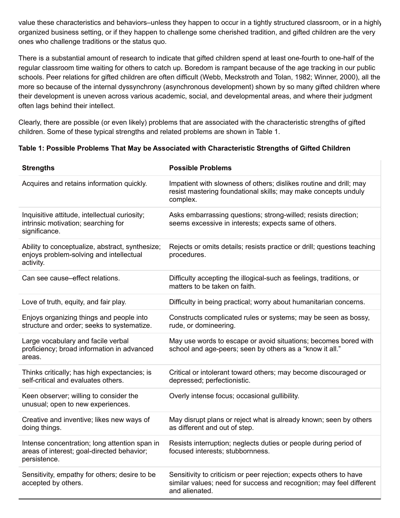value these characteristics and behaviors–unless they happen to occur in a tightly structured classroom, or in a highly organized business setting, or if they happen to challenge some cherished tradition, and gifted children are the very ones who challenge traditions or the status quo.

There is a substantial amount of research to indicate that gifted children spend at least one-fourth to one-half of the regular classroom time waiting for others to catch up. Boredom is rampant because of the age tracking in our public schools. Peer relations for gifted children are often difficult (Webb, Meckstroth and Tolan, 1982; Winner, 2000), all the more so because of the internal dyssynchrony (asynchronous development) shown by so many gifted children where their development is uneven across various academic, social, and developmental areas, and where their judgment often lags behind their intellect.

Clearly, there are possible (or even likely) problems that are associated with the characteristic strengths of gifted children. Some of these typical strengths and related problems are shown in Table 1.

## **Table 1: Possible Problems That May be Associated with Characteristic Strengths of Gifted Children**

| <b>Strengths</b>                                                                                            | <b>Possible Problems</b>                                                                                                                                     |
|-------------------------------------------------------------------------------------------------------------|--------------------------------------------------------------------------------------------------------------------------------------------------------------|
| Acquires and retains information quickly.                                                                   | Impatient with slowness of others; dislikes routine and drill; may<br>resist mastering foundational skills; may make concepts unduly<br>complex.             |
| Inquisitive attitude, intellectual curiosity;<br>intrinsic motivation; searching for<br>significance.       | Asks embarrassing questions; strong-willed; resists direction;<br>seems excessive in interests; expects same of others.                                      |
| Ability to conceptualize, abstract, synthesize;<br>enjoys problem-solving and intellectual<br>activity.     | Rejects or omits details; resists practice or drill; questions teaching<br>procedures.                                                                       |
| Can see cause-effect relations.                                                                             | Difficulty accepting the illogical-such as feelings, traditions, or<br>matters to be taken on faith.                                                         |
| Love of truth, equity, and fair play.                                                                       | Difficulty in being practical; worry about humanitarian concerns.                                                                                            |
| Enjoys organizing things and people into<br>structure and order; seeks to systematize.                      | Constructs complicated rules or systems; may be seen as bossy,<br>rude, or domineering.                                                                      |
| Large vocabulary and facile verbal<br>proficiency; broad information in advanced<br>areas.                  | May use words to escape or avoid situations; becomes bored with<br>school and age-peers; seen by others as a "know it all."                                  |
| Thinks critically; has high expectancies; is<br>self-critical and evaluates others.                         | Critical or intolerant toward others; may become discouraged or<br>depressed; perfectionistic.                                                               |
| Keen observer; willing to consider the<br>unusual; open to new experiences.                                 | Overly intense focus; occasional gullibility.                                                                                                                |
| Creative and inventive; likes new ways of<br>doing things.                                                  | May disrupt plans or reject what is already known; seen by others<br>as different and out of step.                                                           |
| Intense concentration; long attention span in<br>areas of interest; goal-directed behavior;<br>persistence. | Resists interruption; neglects duties or people during period of<br>focused interests; stubbornness.                                                         |
| Sensitivity, empathy for others; desire to be<br>accepted by others.                                        | Sensitivity to criticism or peer rejection; expects others to have<br>similar values; need for success and recognition; may feel different<br>and alienated. |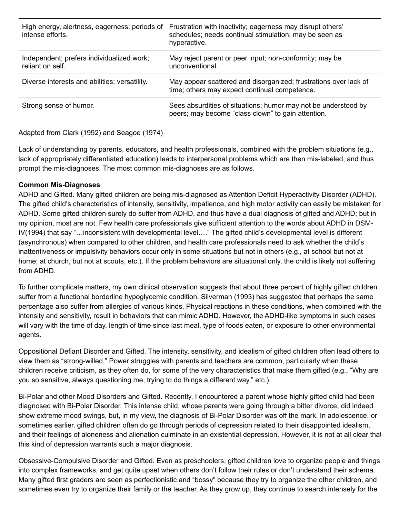| High energy, alertness, eagerness; periods of<br>intense efforts. | Frustration with inactivity; eagerness may disrupt others'<br>schedules; needs continual stimulation; may be seen as<br>hyperactive. |
|-------------------------------------------------------------------|--------------------------------------------------------------------------------------------------------------------------------------|
| Independent; prefers individualized work;<br>reliant on self.     | May reject parent or peer input; non-conformity; may be<br>unconventional.                                                           |
| Diverse interests and abilities; versatility.                     | May appear scattered and disorganized; frustrations over lack of<br>time; others may expect continual competence.                    |
| Strong sense of humor.                                            | Sees absurdities of situations; humor may not be understood by<br>peers; may become "class clown" to gain attention.                 |

Adapted from Clark (1992) and Seagoe (1974)

Lack of understanding by parents, educators, and health professionals, combined with the problem situations (e.g., lack of appropriately differentiated education) leads to interpersonal problems which are then mis-labeled, and thus prompt the mis-diagnoses. The most common mis-diagnoses are as follows.

## **Common Mis-Diagnoses**

ADHD and Gifted. Many gifted children are being mis-diagnosed as Attention Deficit Hyperactivity Disorder (ADHD). The gifted child's characteristics of intensity, sensitivity, impatience, and high motor activity can easily be mistaken for ADHD. Some gifted children surely do suffer from ADHD, and thus have a dual diagnosis of gifted and ADHD; but in my opinion, most are not. Few health care professionals give sufficient attention to the words about ADHD in DSM-IV(1994) that say "…inconsistent with developmental level…." The gifted child's developmental level is different (asynchronous) when compared to other children, and health care professionals need to ask whether the child's inattentiveness or impulsivity behaviors occur only in some situations but not in others (e.g., at school but not at home; at church, but not at scouts, etc.). If the problem behaviors are situational only, the child is likely not suffering from ADHD.

To further complicate matters, my own clinical observation suggests that about three percent of highly gifted children suffer from a functional borderline hypoglycemic condition. Silverman (1993) has suggested that perhaps the same percentage also suffer from allergies of various kinds. Physical reactions in these conditions, when combined with the intensity and sensitivity, result in behaviors that can mimic ADHD. However, the ADHD-like symptoms in such cases will vary with the time of day, length of time since last meal, type of foods eaten, or exposure to other environmental agents.

Oppositional Defiant Disorder and Gifted. The intensity, sensitivity, and idealism of gifted children often lead others to view them as "strong-willed." Power struggles with parents and teachers are common, particularly when these children receive criticism, as they often do, for some of the very characteristics that make them gifted (e.g., "Why are you so sensitive, always questioning me, trying to do things a different way," etc.).

Bi-Polar and other Mood Disorders and Gifted. Recently, I encountered a parent whose highly gifted child had been diagnosed with Bi-Polar Disorder. This intense child, whose parents were going through a bitter divorce, did indeed show extreme mood swings, but, in my view, the diagnosis of Bi-Polar Disorder was off the mark. In adolescence, or sometimes earlier, gifted children often do go through periods of depression related to their disappointed idealism, and their feelings of aloneness and alienation culminate in an existential depression. However, it is not at all clear that this kind of depression warrants such a major diagnosis.

Obsessive-Compulsive Disorder and Gifted. Even as preschoolers, gifted children love to organize people and things into complex frameworks, and get quite upset when others don't follow their rules or don't understand their schema. Many gifted first graders are seen as perfectionistic and "bossy" because they try to organize the other children, and sometimes even try to organize their family or the teacher. As they grow up, they continue to search intensely for the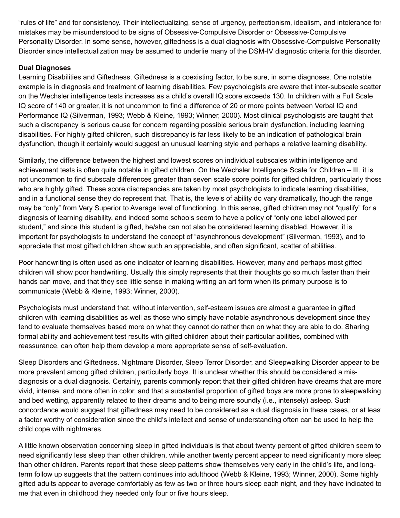"rules of life" and for consistency. Their intellectualizing, sense of urgency, perfectionism, idealism, and intolerance for mistakes may be misunderstood to be signs of Obsessive-Compulsive Disorder or Obsessive-Compulsive Personality Disorder. In some sense, however, giftedness is a dual diagnosis with Obsessive-Compulsive Personality Disorder since intellectualization may be assumed to underlie many of the DSM-IV diagnostic criteria for this disorder.

#### **Dual Diagnoses**

Learning Disabilities and Giftedness. Giftedness is a coexisting factor, to be sure, in some diagnoses. One notable example is in diagnosis and treatment of learning disabilities. Few psychologists are aware that inter-subscale scatter on the Wechsler intelligence tests increases as a child's overall IQ score exceeds 130. In children with a Full Scale IQ score of 140 or greater, it is not uncommon to find a difference of 20 or more points between Verbal IQ and Performance IQ (Silverman, 1993; Webb & Kleine, 1993; Winner, 2000). Most clinical psychologists are taught that such a discrepancy is serious cause for concern regarding possible serious brain dysfunction, including learning disabilities. For highly gifted children, such discrepancy is far less likely to be an indication of pathological brain dysfunction, though it certainly would suggest an unusual learning style and perhaps a relative learning disability.

Similarly, the difference between the highest and lowest scores on individual subscales within intelligence and achievement tests is often quite notable in gifted children. On the Wechsler Intelligence Scale for Children – III, it is not uncommon to find subscale differences greater than seven scale score points for gifted children, particularly those who are highly gifted. These score discrepancies are taken by most psychologists to indicate learning disabilities, and in a functional sense they do represent that. That is, the levels of ability do vary dramatically, though the range may be "only" from Very Superior to Average level of functioning. In this sense, gifted children may not "qualify" for a diagnosis of learning disability, and indeed some schools seem to have a policy of "only one label allowed per student," and since this student is gifted, he/she can not also be considered learning disabled. However, it is important for psychologists to understand the concept of "asynchronous development" (Silverman, 1993), and to appreciate that most gifted children show such an appreciable, and often significant, scatter of abilities.

Poor handwriting is often used as one indicator of learning disabilities. However, many and perhaps most gifted children will show poor handwriting. Usually this simply represents that their thoughts go so much faster than their hands can move, and that they see little sense in making writing an art form when its primary purpose is to communicate (Webb & Kleine, 1993; Winner, 2000).

Psychologists must understand that, without intervention, self-esteem issues are almost a guarantee in gifted children with learning disabilities as well as those who simply have notable asynchronous development since they tend to evaluate themselves based more on what they cannot do rather than on what they are able to do. Sharing formal ability and achievement test results with gifted children about their particular abilities, combined with reassurance, can often help them develop a more appropriate sense of self-evaluation.

Sleep Disorders and Giftedness. Nightmare Disorder, Sleep Terror Disorder, and Sleepwalking Disorder appear to be more prevalent among gifted children, particularly boys. It is unclear whether this should be considered a misdiagnosis or a dual diagnosis. Certainly, parents commonly report that their gifted children have dreams that are more vivid, intense, and more often in color, and that a substantial proportion of gifted boys are more prone to sleepwalking and bed wetting, apparently related to their dreams and to being more soundly (i.e., intensely) asleep. Such concordance would suggest that giftedness may need to be considered as a dual diagnosis in these cases, or at least a factor worthy of consideration since the child's intellect and sense of understanding often can be used to help the child cope with nightmares.

A little known observation concerning sleep in gifted individuals is that about twenty percent of gifted children seem to need significantly less sleep than other children, while another twenty percent appear to need significantly more sleep than other children. Parents report that these sleep patterns show themselves very early in the child's life, and longterm follow up suggests that the pattern continues into adulthood (Webb & Kleine, 1993; Winner, 2000). Some highly gifted adults appear to average comfortably as few as two or three hours sleep each night, and they have indicated to me that even in childhood they needed only four or five hours sleep.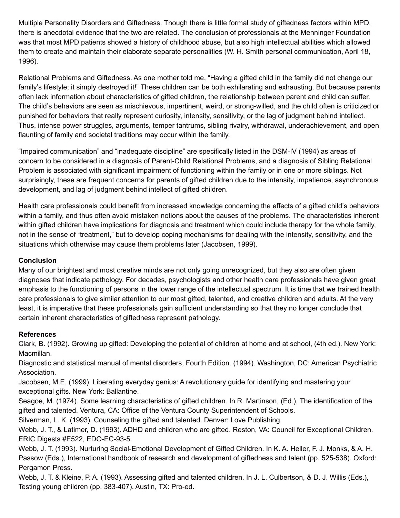Multiple Personality Disorders and Giftedness. Though there is little formal study of giftedness factors within MPD, there is anecdotal evidence that the two are related. The conclusion of professionals at the Menninger Foundation was that most MPD patients showed a history of childhood abuse, but also high intellectual abilities which allowed them to create and maintain their elaborate separate personalities (W. H. Smith personal communication, April 18, 1996).

Relational Problems and Giftedness. As one mother told me, "Having a gifted child in the family did not change our family's lifestyle; it simply destroyed it!" These children can be both exhilarating and exhausting. But because parents often lack information about characteristics of gifted children, the relationship between parent and child can suffer. The child's behaviors are seen as mischievous, impertinent, weird, or strong-willed, and the child often is criticized or punished for behaviors that really represent curiosity, intensity, sensitivity, or the lag of judgment behind intellect. Thus, intense power struggles, arguments, temper tantrums, sibling rivalry, withdrawal, underachievement, and open flaunting of family and societal traditions may occur within the family.

"Impaired communication" and "inadequate discipline" are specifically listed in the DSM-IV (1994) as areas of concern to be considered in a diagnosis of Parent-Child Relational Problems, and a diagnosis of Sibling Relational Problem is associated with significant impairment of functioning within the family or in one or more siblings. Not surprisingly, these are frequent concerns for parents of gifted children due to the intensity, impatience, asynchronous development, and lag of judgment behind intellect of gifted children.

Health care professionals could benefit from increased knowledge concerning the effects of a gifted child's behaviors within a family, and thus often avoid mistaken notions about the causes of the problems. The characteristics inherent within gifted children have implications for diagnosis and treatment which could include therapy for the whole family, not in the sense of "treatment," but to develop coping mechanisms for dealing with the intensity, sensitivity, and the situations which otherwise may cause them problems later (Jacobsen, 1999).

# **Conclusion**

Many of our brightest and most creative minds are not only going unrecognized, but they also are often given diagnoses that indicate pathology. For decades, psychologists and other health care professionals have given great emphasis to the functioning of persons in the lower range of the intellectual spectrum. It is time that we trained health care professionals to give similar attention to our most gifted, talented, and creative children and adults. At the very least, it is imperative that these professionals gain sufficient understanding so that they no longer conclude that certain inherent characteristics of giftedness represent pathology.

#### **References**

Clark, B. (1992). Growing up gifted: Developing the potential of children at home and at school, (4th ed.). New York: Macmillan.

Diagnostic and statistical manual of mental disorders, Fourth Edition. (1994). Washington, DC: American Psychiatric Association.

Jacobsen, M.E. (1999). Liberating everyday genius: A revolutionary guide for identifying and mastering your exceptional gifts. New York: Ballantine.

Seagoe, M. (1974). Some learning characteristics of gifted children. In R. Martinson, (Ed.), The identification of the gifted and talented. Ventura, CA: Office of the Ventura County Superintendent of Schools.

Silverman, L. K. (1993). Counseling the gifted and talented. Denver: Love Publishing.

Webb, J. T., & Latimer, D. (1993). ADHD and children who are gifted. Reston, VA: Council for Exceptional Children. ERIC Digests #E522, EDO-EC-93-5.

Webb, J. T. (1993). Nurturing Social-Emotional Development of Gifted Children. In K. A. Heller, F. J. Monks, & A. H. Passow (Eds.), International handbook of research and development of giftedness and talent (pp. 525-538). Oxford: Pergamon Press.

Webb, J. T. & Kleine, P. A. (1993). Assessing gifted and talented children. In J. L. Culbertson, & D. J. Willis (Eds.), Testing young children (pp. 383-407). Austin, TX: Pro-ed.